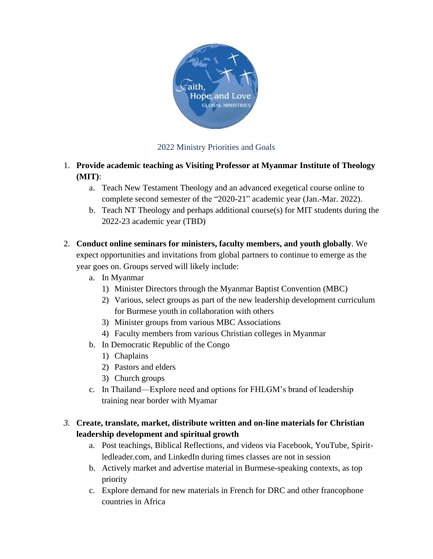

## 2022 Ministry Priorities and Goals

- 1. **Provide academic teaching as Visiting Professor at Myanmar Institute of Theology (MIT)**:
	- a. Teach New Testament Theology and an advanced exegetical course online to complete second semester of the "2020-21" academic year (Jan.-Mar. 2022).
	- b. Teach NT Theology and perhaps additional course(s) for MIT students during the 2022-23 academic year (TBD)
- 2. **Conduct online seminars for ministers, faculty members, and youth globally**. We expect opportunities and invitations from global partners to continue to emerge as the year goes on. Groups served will likely include:
	- a. In Myanmar
		- 1) Minister Directors through the Myanmar Baptist Convention (MBC)
		- 2) Various, select groups as part of the new leadership development curriculum for Burmese youth in collaboration with others
		- 3) Minister groups from various MBC Associations
		- 4) Faculty members from various Christian colleges in Myanmar
	- b. In Democratic Republic of the Congo
		- 1) Chaplains
		- 2) Pastors and elders
		- 3) Church groups
	- c. In Thailand—Explore need and options for FHLGM's brand of leadership training near border with Myamar

## *3.* **Create, translate, market, distribute written and on-line materials for Christian leadership development and spiritual growth**

- a. Post teachings, Biblical Reflections, and videos via Facebook, YouTube, Spiritledleader.com, and LinkedIn during times classes are not in session
- b. Actively market and advertise material in Burmese-speaking contexts, as top priority
- c. Explore demand for new materials in French for DRC and other francophone countries in Africa